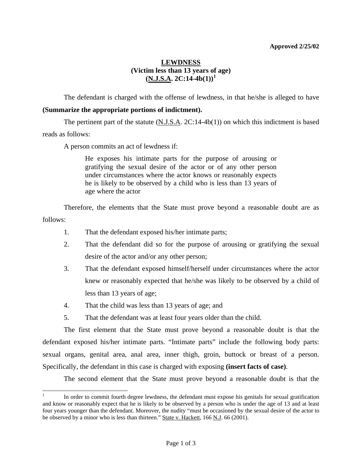## **Approved 2/25/02**

## **LEWDNESS (Victim less than 13 years of age)**   $(N.J.S.A. 2C:14-4b(1))^1$  $(N.J.S.A. 2C:14-4b(1))^1$  $(N.J.S.A. 2C:14-4b(1))^1$

The defendant is charged with the offense of lewdness, in that he/she is alleged to have

## **(Summarize the appropriate portions of indictment).**

 The pertinent part of the statute (N.J.S.A. 2C:14-4b(1)) on which this indictment is based reads as follows:

A person commits an act of lewdness if:

He exposes his intimate parts for the purpose of arousing or gratifying the sexual desire of the actor or of any other person under circumstances where the actor knows or reasonably expects he is likely to be observed by a child who is less than 13 years of age where the actor

 Therefore, the elements that the State must prove beyond a reasonable doubt are as follows:

- 1. That the defendant exposed his/her intimate parts;
- 2. That the defendant did so for the purpose of arousing or gratifying the sexual desire of the actor and/or any other person;
- 3. That the defendant exposed himself/herself under circumstances where the actor knew or reasonably expected that he/she was likely to be observed by a child of less than 13 years of age;
- 4. That the child was less than 13 years of age; and

 $\overline{a}$ 

5. That the defendant was at least four years older than the child.

 The first element that the State must prove beyond a reasonable doubt is that the defendant exposed his/her intimate parts. "Intimate parts" include the following body parts: sexual organs, genital area, anal area, inner thigh, groin, buttock or breast of a person. Specifically, the defendant in this case is charged with exposing **(insert facts of case)**.

The second element that the State must prove beyond a reasonable doubt is that the

<span id="page-0-1"></span><span id="page-0-0"></span><sup>1</sup> In order to commit fourth degree lewdness, the defendant must expose his genitals for sexual gratification and know or reasonably expect that he is likely to be observed by a person who is under the age of 13 and at least four years younger than the defendant. Moreover, the nudity "must be occasioned by the sexual desire of the actor to be observed by a minor who is less than thirteen." State v. Hackett, 166 N.J. 66 (2001).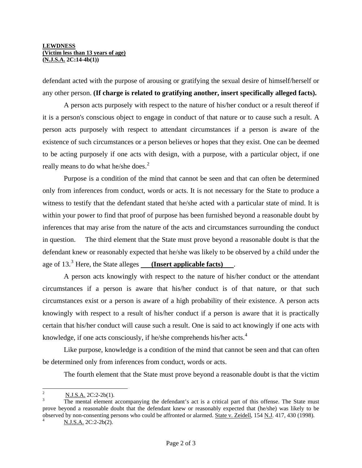defendant acted with the purpose of arousing or gratifying the sexual desire of himself/herself or any other person. **(If charge is related to gratifying another, insert specifically alleged facts).**

 A person acts purposely with respect to the nature of his/her conduct or a result thereof if it is a person's conscious object to engage in conduct of that nature or to cause such a result. A person acts purposely with respect to attendant circumstances if a person is aware of the existence of such circumstances or a person believes or hopes that they exist. One can be deemed to be acting purposely if one acts with design, with a purpose, with a particular object, if one really means to do what he/she does. $<sup>2</sup>$  $<sup>2</sup>$  $<sup>2</sup>$ </sup>

 Purpose is a condition of the mind that cannot be seen and that can often be determined only from inferences from conduct, words or acts. It is not necessary for the State to produce a witness to testify that the defendant stated that he/she acted with a particular state of mind. It is within your power to find that proof of purpose has been furnished beyond a reasonable doubt by inferences that may arise from the nature of the acts and circumstances surrounding the conduct in question. The third element that the State must prove beyond a reasonable doubt is that the defendant knew or reasonably expected that he/she was likely to be observed by a child under the age of 1[3](#page-1-0).<sup>3</sup> Here, the State alleges **(Insert applicable facts)**.

 A person acts knowingly with respect to the nature of his/her conduct or the attendant circumstances if a person is aware that his/her conduct is of that nature, or that such circumstances exist or a person is aware of a high probability of their existence. A person acts knowingly with respect to a result of his/her conduct if a person is aware that it is practically certain that his/her conduct will cause such a result. One is said to act knowingly if one acts with knowledge, if one acts consciously, if he/she comprehends his/her acts.<sup>[4](#page-1-1)</sup>

 Like purpose, knowledge is a condition of the mind that cannot be seen and that can often be determined only from inferences from conduct, words or acts.

The fourth element that the State must prove beyond a reasonable doubt is that the victim

 $\frac{1}{2}$ N.J.S.A. 2C:2-2b(1). 3

<span id="page-1-0"></span>The mental element accompanying the defendant's act is a critical part of this offense. The State must prove beyond a reasonable doubt that the defendant knew or reasonably expected that (he/she) was likely to be observed by non-consenting persons who could be affronted or alarmed. State v. Zeidell, 154 N.J. 417, 430 (1998).

<span id="page-1-1"></span>N.J.S.A. 2C:2-2b(2).